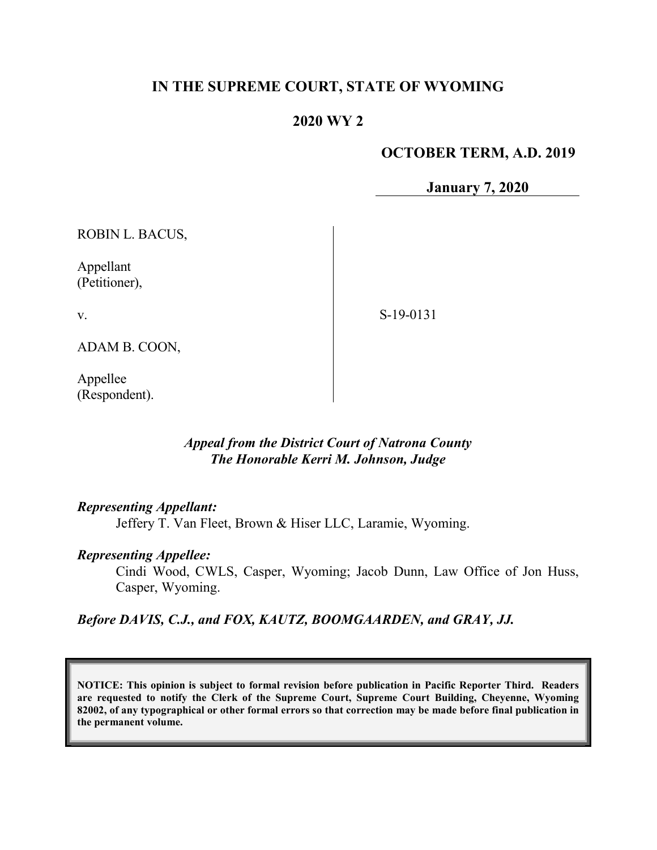# IN THE SUPREME COURT, STATE OF WYOMING

# 2020 WY 2

### OCTOBER TERM, A.D. 2019

January 7, 2020

ROBIN L. BACUS,

Appellant (Petitioner),

v.

S-19-0131

ADAM B. COON,

Appellee (Respondent).

### Appeal from the District Court of Natrona County The Honorable Kerri M. Johnson, Judge

#### Representing Appellant:

Jeffery T. Van Fleet, Brown & Hiser LLC, Laramie, Wyoming.

#### Representing Appellee:

Cindi Wood, CWLS, Casper, Wyoming; Jacob Dunn, Law Office of Jon Huss, Casper, Wyoming.

Before DAVIS, C.J., and FOX, KAUTZ, BOOMGAARDEN, and GRAY, JJ.

NOTICE: This opinion is subject to formal revision before publication in Pacific Reporter Third. Readers are requested to notify the Clerk of the Supreme Court, Supreme Court Building, Cheyenne, Wyoming 82002, of any typographical or other formal errors so that correction may be made before final publication in the permanent volume.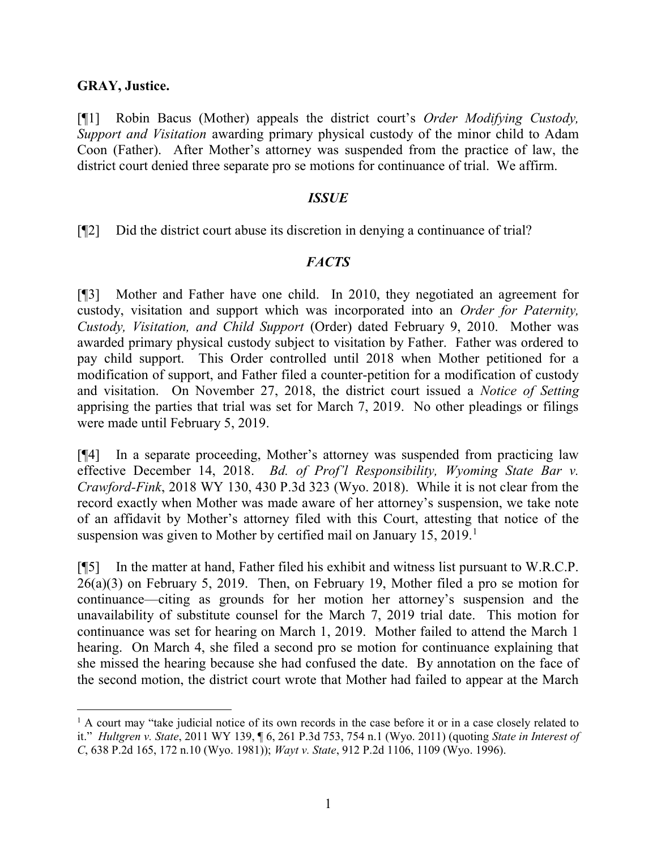#### GRAY, Justice.

 $\overline{a}$ 

[¶1] Robin Bacus (Mother) appeals the district court's Order Modifying Custody, Support and Visitation awarding primary physical custody of the minor child to Adam Coon (Father). After Mother's attorney was suspended from the practice of law, the district court denied three separate pro se motions for continuance of trial. We affirm.

#### ISSUE

[¶2] Did the district court abuse its discretion in denying a continuance of trial?

### **FACTS**

[¶3] Mother and Father have one child. In 2010, they negotiated an agreement for custody, visitation and support which was incorporated into an Order for Paternity, Custody, Visitation, and Child Support (Order) dated February 9, 2010. Mother was awarded primary physical custody subject to visitation by Father. Father was ordered to pay child support. This Order controlled until 2018 when Mother petitioned for a modification of support, and Father filed a counter-petition for a modification of custody and visitation. On November 27, 2018, the district court issued a Notice of Setting apprising the parties that trial was set for March 7, 2019. No other pleadings or filings were made until February 5, 2019.

[¶4] In a separate proceeding, Mother's attorney was suspended from practicing law effective December 14, 2018. Bd. of Prof'l Responsibility, Wyoming State Bar v. Crawford-Fink, 2018 WY 130, 430 P.3d 323 (Wyo. 2018). While it is not clear from the record exactly when Mother was made aware of her attorney's suspension, we take note of an affidavit by Mother's attorney filed with this Court, attesting that notice of the suspension was given to Mother by certified mail on January  $15, 2019$ .<sup>1</sup>

[¶5] In the matter at hand, Father filed his exhibit and witness list pursuant to W.R.C.P. 26(a)(3) on February 5, 2019. Then, on February 19, Mother filed a pro se motion for continuance—citing as grounds for her motion her attorney's suspension and the unavailability of substitute counsel for the March 7, 2019 trial date. This motion for continuance was set for hearing on March 1, 2019. Mother failed to attend the March 1 hearing. On March 4, she filed a second pro se motion for continuance explaining that she missed the hearing because she had confused the date. By annotation on the face of the second motion, the district court wrote that Mother had failed to appear at the March

<sup>&</sup>lt;sup>1</sup> A court may "take judicial notice of its own records in the case before it or in a case closely related to it." Hultgren v. State, 2011 WY 139, ¶ 6, 261 P.3d 753, 754 n.1 (Wyo. 2011) (quoting State in Interest of C, 638 P.2d 165, 172 n.10 (Wyo. 1981)); Wayt v. State, 912 P.2d 1106, 1109 (Wyo. 1996).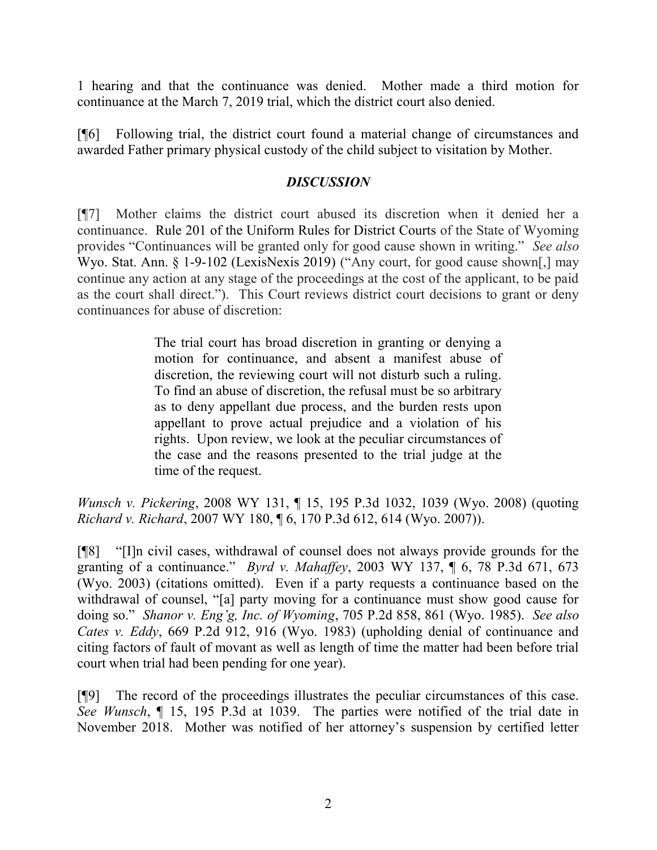1 hearing and that the continuance was denied. Mother made a third motion for continuance at the March 7, 2019 trial, which the district court also denied.

[¶6] Following trial, the district court found a material change of circumstances and awarded Father primary physical custody of the child subject to visitation by Mother.

## **DISCUSSION**

[¶7] Mother claims the district court abused its discretion when it denied her a continuance. Rule 201 of the Uniform Rules for District Courts of the State of Wyoming provides "Continuances will be granted only for good cause shown in writing." See also Wyo. Stat. Ann. § 1-9-102 (LexisNexis 2019) ("Any court, for good cause shown[,] may continue any action at any stage of the proceedings at the cost of the applicant, to be paid as the court shall direct."). This Court reviews district court decisions to grant or deny continuances for abuse of discretion:

> The trial court has broad discretion in granting or denying a motion for continuance, and absent a manifest abuse of discretion, the reviewing court will not disturb such a ruling. To find an abuse of discretion, the refusal must be so arbitrary as to deny appellant due process, and the burden rests upon appellant to prove actual prejudice and a violation of his rights. Upon review, we look at the peculiar circumstances of the case and the reasons presented to the trial judge at the time of the request.

Wunsch v. Pickering, 2008 WY 131, ¶ 15, 195 P.3d 1032, 1039 (Wyo. 2008) (quoting Richard v. Richard, 2007 WY 180, ¶ 6, 170 P.3d 612, 614 (Wyo. 2007)).

[¶8] "[I]n civil cases, withdrawal of counsel does not always provide grounds for the granting of a continuance." Byrd v. Mahaffey, 2003 WY 137,  $\P$  6, 78 P.3d 671, 673 (Wyo. 2003) (citations omitted). Even if a party requests a continuance based on the withdrawal of counsel, "[a] party moving for a continuance must show good cause for doing so." Shanor v. Eng'g, Inc. of Wyoming, 705 P.2d 858, 861 (Wyo. 1985). See also Cates v. Eddy, 669 P.2d 912, 916 (Wyo. 1983) (upholding denial of continuance and citing factors of fault of movant as well as length of time the matter had been before trial court when trial had been pending for one year).

[¶9] The record of the proceedings illustrates the peculiar circumstances of this case. See Wunsch, ¶ 15, 195 P.3d at 1039. The parties were notified of the trial date in November 2018. Mother was notified of her attorney's suspension by certified letter